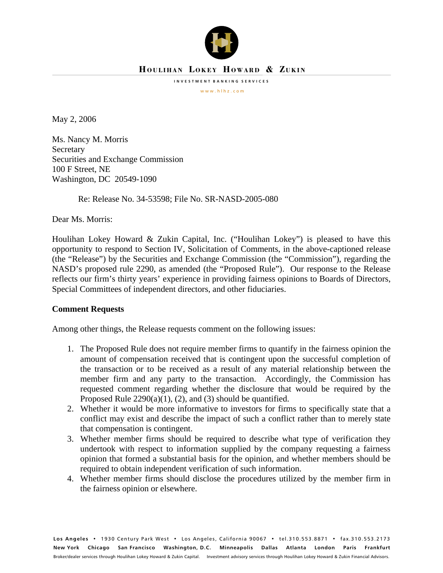

# **HOULIHAN LOKEY HOWARD & ZUKIN**

**INVESTMENT BANKING SERVICES**

w w w . h l h z . c o m

May 2, 2006

Ms. Nancy M. Morris **Secretary** Securities and Exchange Commission 100 F Street, NE Washington, DC 20549-1090

Re: Release No. 34-53598; File No. SR-NASD-2005-080

Dear Ms. Morris:

Houlihan Lokey Howard & Zukin Capital, Inc. ("Houlihan Lokey") is pleased to have this opportunity to respond to Section IV, Solicitation of Comments, in the above-captioned release (the "Release") by the Securities and Exchange Commission (the "Commission"), regarding the NASD's proposed rule 2290, as amended (the "Proposed Rule"). Our response to the Release reflects our firm's thirty years' experience in providing fairness opinions to Boards of Directors, Special Committees of independent directors, and other fiduciaries.

## **Comment Requests**

Among other things, the Release requests comment on the following issues:

- 1. The Proposed Rule does not require member firms to quantify in the fairness opinion the amount of compensation received that is contingent upon the successful completion of the transaction or to be received as a result of any material relationship between the member firm and any party to the transaction. Accordingly, the Commission has requested comment regarding whether the disclosure that would be required by the Proposed Rule  $2290(a)(1)$ , (2), and (3) should be quantified.
- 2. Whether it would be more informative to investors for firms to specifically state that a conflict may exist and describe the impact of such a conflict rather than to merely state that compensation is contingent.
- 3. Whether member firms should be required to describe what type of verification they undertook with respect to information supplied by the company requesting a fairness opinion that formed a substantial basis for the opinion, and whether members should be required to obtain independent verification of such information.
- 4. Whether member firms should disclose the procedures utilized by the member firm in the fairness opinion or elsewhere.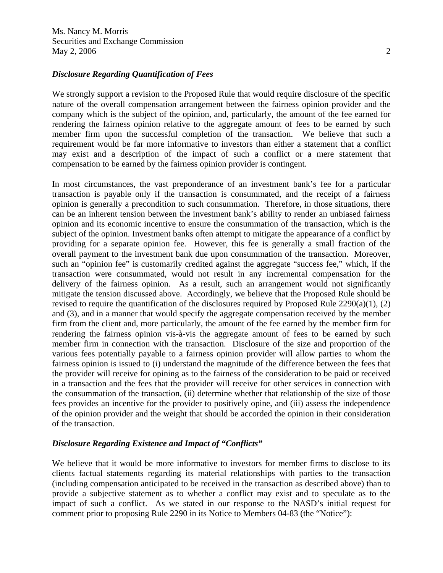Ms. Nancy M. Morris Securities and Exchange Commission May 2, 2006 2

### *Disclosure Regarding Quantification of Fees*

We strongly support a revision to the Proposed Rule that would require disclosure of the specific nature of the overall compensation arrangement between the fairness opinion provider and the company which is the subject of the opinion, and, particularly, the amount of the fee earned for rendering the fairness opinion relative to the aggregate amount of fees to be earned by such member firm upon the successful completion of the transaction. We believe that such a requirement would be far more informative to investors than either a statement that a conflict may exist and a description of the impact of such a conflict or a mere statement that compensation to be earned by the fairness opinion provider is contingent.

In most circumstances, the vast preponderance of an investment bank's fee for a particular transaction is payable only if the transaction is consummated, and the receipt of a fairness opinion is generally a precondition to such consummation. Therefore, in those situations, there can be an inherent tension between the investment bank's ability to render an unbiased fairness opinion and its economic incentive to ensure the consummation of the transaction, which is the subject of the opinion. Investment banks often attempt to mitigate the appearance of a conflict by providing for a separate opinion fee. However, this fee is generally a small fraction of the overall payment to the investment bank due upon consummation of the transaction. Moreover, such an "opinion fee" is customarily credited against the aggregate "success fee," which, if the transaction were consummated, would not result in any incremental compensation for the delivery of the fairness opinion. As a result, such an arrangement would not significantly mitigate the tension discussed above. Accordingly, we believe that the Proposed Rule should be revised to require the quantification of the disclosures required by Proposed Rule 2290(a)(1), (2) and (3), and in a manner that would specify the aggregate compensation received by the member firm from the client and, more particularly, the amount of the fee earned by the member firm for rendering the fairness opinion vis-à-vis the aggregate amount of fees to be earned by such member firm in connection with the transaction. Disclosure of the size and proportion of the various fees potentially payable to a fairness opinion provider will allow parties to whom the fairness opinion is issued to (i) understand the magnitude of the difference between the fees that the provider will receive for opining as to the fairness of the consideration to be paid or received in a transaction and the fees that the provider will receive for other services in connection with the consummation of the transaction, (ii) determine whether that relationship of the size of those fees provides an incentive for the provider to positively opine, and (iii) assess the independence of the opinion provider and the weight that should be accorded the opinion in their consideration of the transaction.

#### *Disclosure Regarding Existence and Impact of "Conflicts"*

We believe that it would be more informative to investors for member firms to disclose to its clients factual statements regarding its material relationships with parties to the transaction (including compensation anticipated to be received in the transaction as described above) than to provide a subjective statement as to whether a conflict may exist and to speculate as to the impact of such a conflict. As we stated in our response to the NASD's initial request for comment prior to proposing Rule 2290 in its Notice to Members 04-83 (the "Notice"):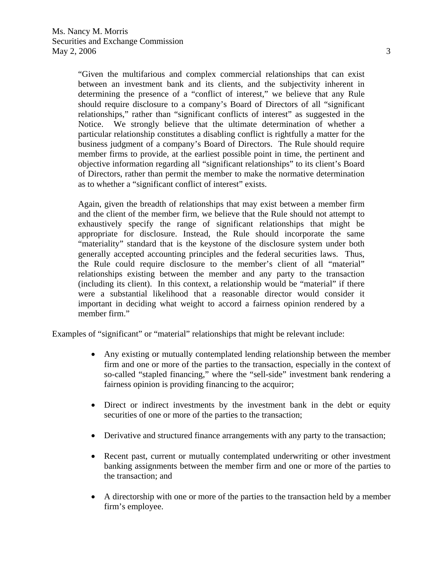"Given the multifarious and complex commercial relationships that can exist between an investment bank and its clients, and the subjectivity inherent in determining the presence of a "conflict of interest," we believe that any Rule should require disclosure to a company's Board of Directors of all "significant relationships," rather than "significant conflicts of interest" as suggested in the Notice. We strongly believe that the ultimate determination of whether a particular relationship constitutes a disabling conflict is rightfully a matter for the business judgment of a company's Board of Directors. The Rule should require member firms to provide, at the earliest possible point in time, the pertinent and objective information regarding all "significant relationships" to its client's Board of Directors, rather than permit the member to make the normative determination as to whether a "significant conflict of interest" exists.

Again, given the breadth of relationships that may exist between a member firm and the client of the member firm, we believe that the Rule should not attempt to exhaustively specify the range of significant relationships that might be appropriate for disclosure. Instead, the Rule should incorporate the same "materiality" standard that is the keystone of the disclosure system under both generally accepted accounting principles and the federal securities laws. Thus, the Rule could require disclosure to the member's client of all "material" relationships existing between the member and any party to the transaction (including its client). In this context, a relationship would be "material" if there were a substantial likelihood that a reasonable director would consider it important in deciding what weight to accord a fairness opinion rendered by a member firm."

Examples of "significant" or "material" relationships that might be relevant include:

- Any existing or mutually contemplated lending relationship between the member firm and one or more of the parties to the transaction, especially in the context of so-called "stapled financing," where the "sell-side" investment bank rendering a fairness opinion is providing financing to the acquiror;
- Direct or indirect investments by the investment bank in the debt or equity securities of one or more of the parties to the transaction;
- Derivative and structured finance arrangements with any party to the transaction;
- Recent past, current or mutually contemplated underwriting or other investment banking assignments between the member firm and one or more of the parties to the transaction; and
- A directorship with one or more of the parties to the transaction held by a member firm's employee.